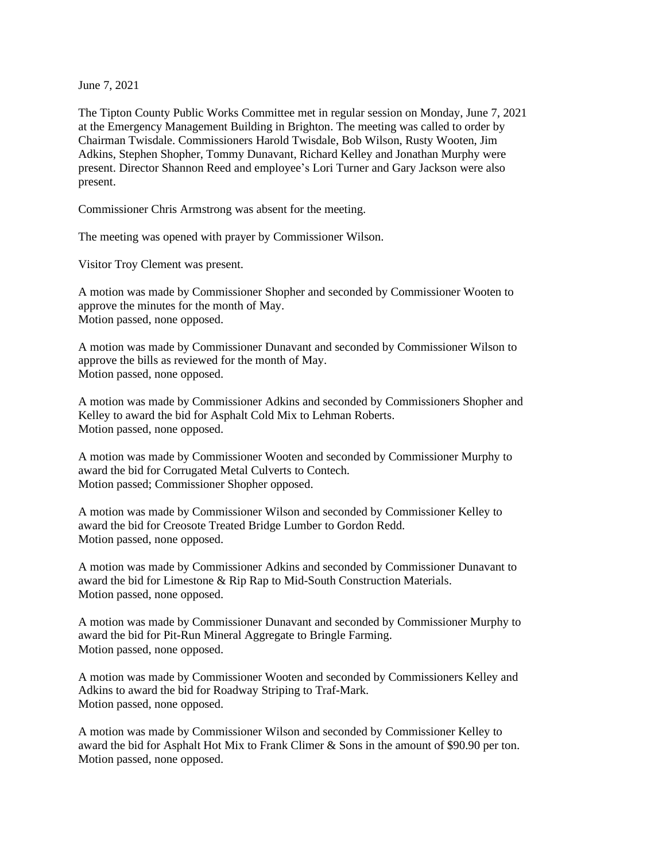June 7, 2021

The Tipton County Public Works Committee met in regular session on Monday, June 7, 2021 at the Emergency Management Building in Brighton. The meeting was called to order by Chairman Twisdale. Commissioners Harold Twisdale, Bob Wilson, Rusty Wooten, Jim Adkins, Stephen Shopher, Tommy Dunavant, Richard Kelley and Jonathan Murphy were present. Director Shannon Reed and employee's Lori Turner and Gary Jackson were also present.

Commissioner Chris Armstrong was absent for the meeting.

The meeting was opened with prayer by Commissioner Wilson.

Visitor Troy Clement was present.

A motion was made by Commissioner Shopher and seconded by Commissioner Wooten to approve the minutes for the month of May. Motion passed, none opposed.

A motion was made by Commissioner Dunavant and seconded by Commissioner Wilson to approve the bills as reviewed for the month of May. Motion passed, none opposed.

A motion was made by Commissioner Adkins and seconded by Commissioners Shopher and Kelley to award the bid for Asphalt Cold Mix to Lehman Roberts. Motion passed, none opposed.

A motion was made by Commissioner Wooten and seconded by Commissioner Murphy to award the bid for Corrugated Metal Culverts to Contech. Motion passed; Commissioner Shopher opposed.

A motion was made by Commissioner Wilson and seconded by Commissioner Kelley to award the bid for Creosote Treated Bridge Lumber to Gordon Redd. Motion passed, none opposed.

A motion was made by Commissioner Adkins and seconded by Commissioner Dunavant to award the bid for Limestone & Rip Rap to Mid-South Construction Materials. Motion passed, none opposed.

A motion was made by Commissioner Dunavant and seconded by Commissioner Murphy to award the bid for Pit-Run Mineral Aggregate to Bringle Farming. Motion passed, none opposed.

A motion was made by Commissioner Wooten and seconded by Commissioners Kelley and Adkins to award the bid for Roadway Striping to Traf-Mark. Motion passed, none opposed.

A motion was made by Commissioner Wilson and seconded by Commissioner Kelley to award the bid for Asphalt Hot Mix to Frank Climer & Sons in the amount of \$90.90 per ton. Motion passed, none opposed.